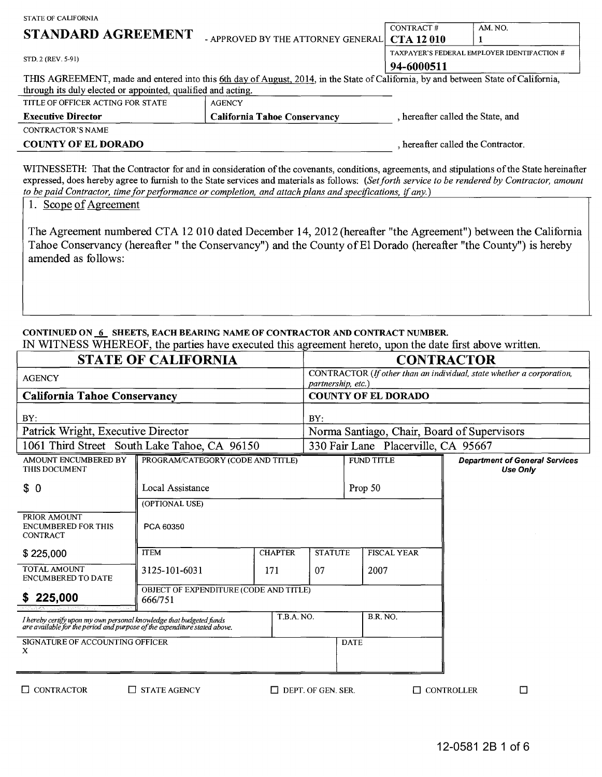| STATE OF CALIFORNIA                                          |                                                                                                                                     |                                             |         |  |
|--------------------------------------------------------------|-------------------------------------------------------------------------------------------------------------------------------------|---------------------------------------------|---------|--|
|                                                              |                                                                                                                                     | CONTRACT#                                   | AM. NO. |  |
| STANDARD AGREEMENT                                           | - APPROVED BY THE ATTORNEY GENERAL CTA 12010                                                                                        |                                             |         |  |
| STD, 2 (REV. 5-91)                                           |                                                                                                                                     | TAXPAYER'S FEDERAL EMPLOYER IDENTIFACTION # |         |  |
|                                                              |                                                                                                                                     | 94-6000511                                  |         |  |
|                                                              | THIS AGREEMENT, made and entered into this 6th day of August, 2014, in the State of California, by and between State of California, |                                             |         |  |
| through its duly elected or appointed, qualified and acting. |                                                                                                                                     |                                             |         |  |
| TITLE OF OFFICER ACTING FOR STATE                            | <b>AGENCY</b>                                                                                                                       |                                             |         |  |
| <b>Executive Director</b>                                    | <b>California Tahoe Conservancy</b>                                                                                                 | , hereafter called the State, and           |         |  |
| CONTRACTOR'S NAME                                            |                                                                                                                                     |                                             |         |  |
| <b>COUNTY OF EL DORADO</b>                                   | , hereafter called the Contractor.                                                                                                  |                                             |         |  |
|                                                              |                                                                                                                                     |                                             |         |  |

## CONTINUED ON 6 SHEETS, EACH BEARING NAME OF CONTRACTOR AND CONTRACT NUMBER.

| <b>Executive Director</b>                                                                                                                                                              |                                                   | <b>California Tahoe Conservancy</b> |                                                                                             |                                     | , hereafter called the State, and                                                                                                                                                                                                                                                               |  |
|----------------------------------------------------------------------------------------------------------------------------------------------------------------------------------------|---------------------------------------------------|-------------------------------------|---------------------------------------------------------------------------------------------|-------------------------------------|-------------------------------------------------------------------------------------------------------------------------------------------------------------------------------------------------------------------------------------------------------------------------------------------------|--|
| <b>CONTRACTOR'S NAME</b>                                                                                                                                                               |                                                   |                                     |                                                                                             |                                     |                                                                                                                                                                                                                                                                                                 |  |
| <b>COUNTY OF EL DORADO</b>                                                                                                                                                             |                                                   |                                     |                                                                                             | , hereafter called the Contractor.  |                                                                                                                                                                                                                                                                                                 |  |
| to be paid Contractor, time for performance or completion, and attach plans and specifications, if any.)<br>1. Scope of Agreement                                                      |                                                   |                                     |                                                                                             |                                     | WITNESSETH: That the Contractor for and in consideration of the covenants, conditions, agreements, and stipulations of the State hereinafter<br>expressed, does hereby agree to furnish to the State services and materials as follows: (Set forth service to be rendered by Contractor, amount |  |
| amended as follows:                                                                                                                                                                    |                                                   |                                     |                                                                                             |                                     | The Agreement numbered CTA 12 010 dated December 14, 2012 (hereafter "the Agreement") between the California<br>Tahoe Conservancy (hereafter "the Conservancy") and the County of El Dorado (hereafter "the County") is hereby                                                                  |  |
| CONTINUED ON 6 SHEETS, EACH BEARING NAME OF CONTRACTOR AND CONTRACT NUMBER.<br>IN WITNESS WHEREOF, the parties have executed this agreement hereto, upon the date first above written. |                                                   |                                     |                                                                                             |                                     |                                                                                                                                                                                                                                                                                                 |  |
|                                                                                                                                                                                        | <b>STATE OF CALIFORNIA</b>                        |                                     |                                                                                             |                                     | <b>CONTRACTOR</b>                                                                                                                                                                                                                                                                               |  |
| <b>AGENCY</b>                                                                                                                                                                          |                                                   |                                     | CONTRACTOR (If other than an individual, state whether a corporation,<br>partnership, etc.) |                                     |                                                                                                                                                                                                                                                                                                 |  |
| <b>California Tahoe Conservancy</b>                                                                                                                                                    |                                                   |                                     |                                                                                             | <b>COUNTY OF EL DORADO</b>          |                                                                                                                                                                                                                                                                                                 |  |
| BY:                                                                                                                                                                                    |                                                   |                                     | BY:                                                                                         |                                     |                                                                                                                                                                                                                                                                                                 |  |
| Patrick Wright, Executive Director                                                                                                                                                     |                                                   |                                     | Norma Santiago, Chair, Board of Supervisors                                                 |                                     |                                                                                                                                                                                                                                                                                                 |  |
| 1061 Third Street South Lake Tahoe, CA 96150                                                                                                                                           |                                                   |                                     |                                                                                             | 330 Fair Lane Placerville, CA 95667 |                                                                                                                                                                                                                                                                                                 |  |
| AMOUNT ENCUMBERED BY<br>THIS DOCUMENT                                                                                                                                                  | PROGRAM/CATEGORY (CODE AND TITLE)                 |                                     |                                                                                             | <b>FUND TITLE</b>                   | <b>Department of General Services</b><br><b>Use Only</b>                                                                                                                                                                                                                                        |  |
| \$0                                                                                                                                                                                    | Local Assistance                                  |                                     | Prop 50                                                                                     |                                     |                                                                                                                                                                                                                                                                                                 |  |
|                                                                                                                                                                                        | (OPTIONAL USE)                                    |                                     |                                                                                             |                                     |                                                                                                                                                                                                                                                                                                 |  |
| PRIOR AMOUNT<br><b>ENCUMBERED FOR THIS</b><br>CONTRACT                                                                                                                                 | PCA 60350                                         |                                     |                                                                                             |                                     |                                                                                                                                                                                                                                                                                                 |  |
| \$225,000                                                                                                                                                                              | <b>ITEM</b>                                       | CHAPTER                             | <b>STATUTE</b>                                                                              | FISCAL YEAR                         |                                                                                                                                                                                                                                                                                                 |  |
| TOTAL AMOUNT<br><b>ENCUMBERED TO DATE</b>                                                                                                                                              | 3125-101-6031                                     | 171                                 | 07                                                                                          | 2007                                |                                                                                                                                                                                                                                                                                                 |  |
| 225,000                                                                                                                                                                                | OBJECT OF EXPENDITURE (CODE AND TITLE)<br>666/751 |                                     |                                                                                             |                                     |                                                                                                                                                                                                                                                                                                 |  |
| I hereby certify upon my own personal knowledge that budgeted funds<br>are available for the period and purpose of the expenditure stated above.                                       |                                                   | T.B.A. NO.                          |                                                                                             | <b>B.R. NO.</b>                     |                                                                                                                                                                                                                                                                                                 |  |
| SIGNATURE OF ACCOUNTING OFFICER<br>X                                                                                                                                                   |                                                   |                                     |                                                                                             | <b>DATE</b>                         |                                                                                                                                                                                                                                                                                                 |  |
| $\Box$ CONTRACTOR                                                                                                                                                                      | $\Box$ STATE AGENCY                               |                                     | $\Box$ DEPT. OF GEN. SER.                                                                   |                                     | $\Box$<br>$\Box$ CONTROLLER                                                                                                                                                                                                                                                                     |  |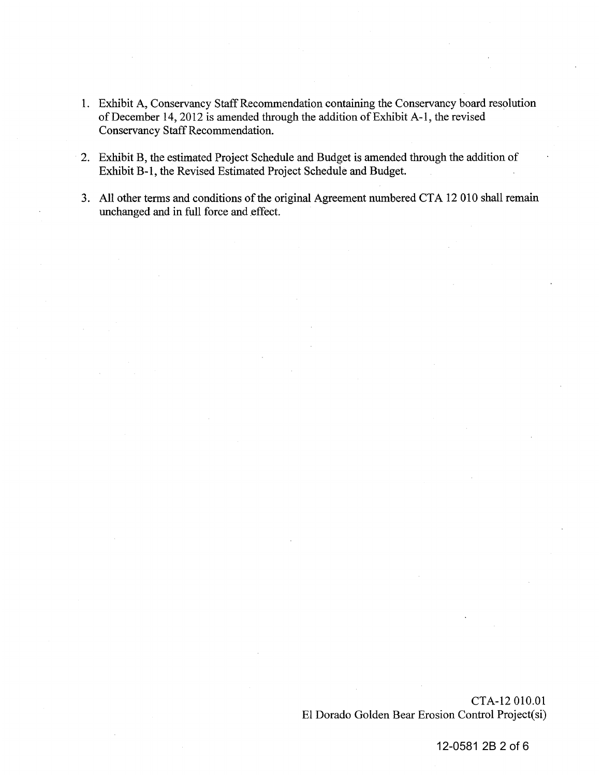- 1. Exhibit A, Conservancy Staff Recommendation containing the Conservancy board resolution of December 14,2012 is amended through the addition of Exhibit A-I, the revised Conservancy Staff Recommendation. of December 14, 2012 is amended through the addition of Exhibit A-1, the revised<br>Conservancy Staff Recommendation.<br>2. Exhibit B, the estimated Project Schedule and Budget is amended through the addition of
- Exhibit B-1, the Revised Estimated Project Schedule and Budget.
- 3. All other terms and conditions of the original Agreement numbered CTA 12 010 shall remain unchanged and in full force and effect.

CTA-12 010.01 EI Dorado Golden Bear Erosion Control Project(si)

12-0581 2B 2 of 6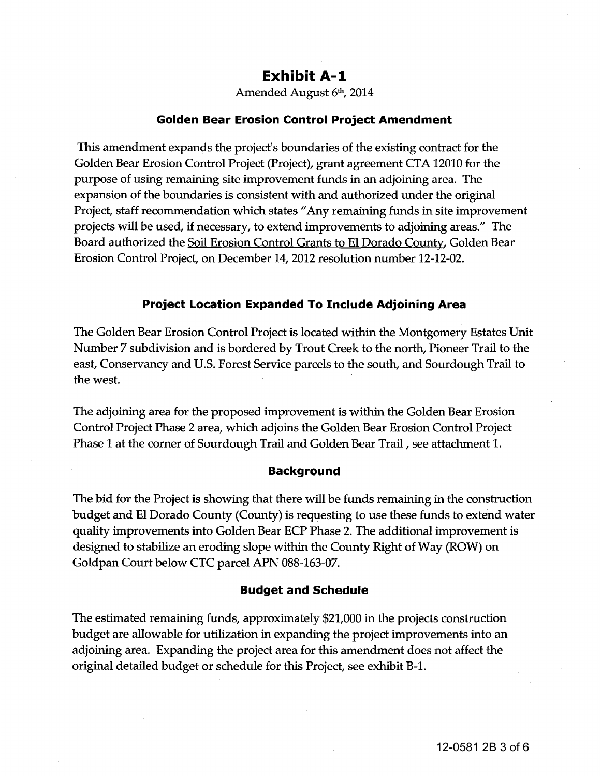# **Exhibit A-I**

Amended August 6th, 2014

#### **Golden Bear Erosion Control Project Amendment**

This amendment expands the project's boundaries of the existing contract for the Golden Bear Erosion Control Project (Project), grant agreement CTA 12010 for the purpose of using remaining site improvement funds in an adjoining area. The expansion of the boundaries is consistent with and authorized under the original Project, staff recommendation which states "Any remaining funds in site improvement projects will be used, if necessary, to extend improvements to adjoining areas." The Board authorized the Soil Erosion Control Grants to **EI** Dorado County, Golden Bear Erosion Control Project, on December 14, 2012 resolution number 12-12-02.

#### **Project Location Expanded To Include Adjoining Area**

The Golden Bear Erosion Control Project is located within the Montgomery Estates Unit Number 7 subdivision and is bordered by Trout Creek to the north, Pioneer Trail to the east, Conservancy and U.S. Forest Service parcels to the south, and Sourdough Trail to the west. 14, 2012 resolution r<br>**nded To Include /**<br>ect is located within

The adjoining area for the proposed improvement is within the Golden Bear Erosion Control Project Phase 2 area, which adjoins the Golden Bear Erosion Control Project Phase 1 at the corner of Sourdough Trail and Golden Bear Trail, see attachment 1.

#### **Background**

The bid for the Project is showing that there will be funds remaining in the construction budget and **EI** Dorado County (County) is requesting to use these funds to extend water quality improvements into Golden Bear ECP Phase 2. The additional improvement is designed to stabilize an eroding slope within the County Right of Way (ROW) on Goldpan Court below CTC parcel APN 088-163-07.

#### **Budget and Schedule**

The estimated remaining funds, approximately \$21,000 in the projects construction budget are allowable for utilization in expanding the project improvements into an adjoining area. Expanding the project area for this amendment does not affect the original detailed budget or schedule for this Project, see exhibit B-l.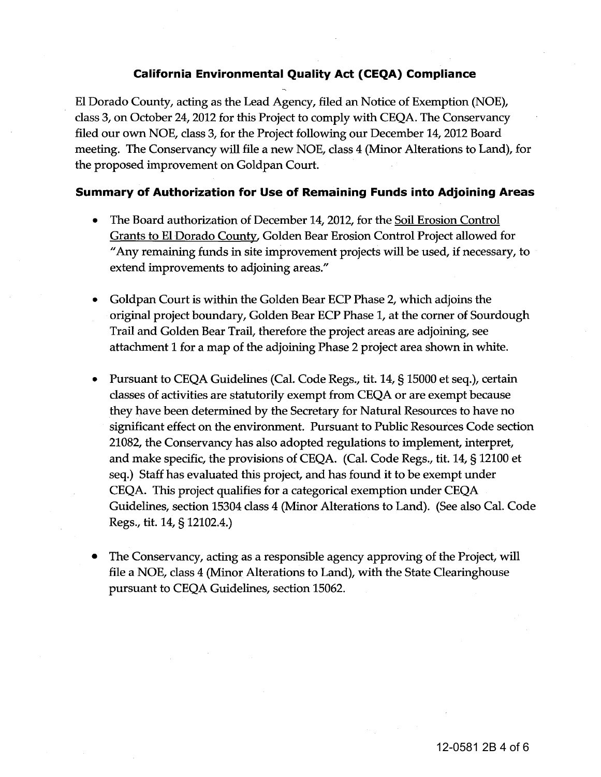### **California Environmental Quality Act (CEQA) Compliance**

El Dorado County, acting as the Lead Agency, filed an Notice of Exemption (NOE), class 3, on October 24, 2012 for this Project to comply with CEQA. The Conservancy filed our own NOE, class 3, for the Project following our December 14, 2012 Board meeting. The Conservancy will file a new NOE, class 4 (Minor Alterations to Land), for the proposed improvement on Goldpan Court.

#### **Summary of Authorization for Use of Remaining Funds into Adjoining Areas**

- The Board authorization of December 14, 2012, for the Soil Erosion Control Grants to EI Dorado County, Golden Bear Erosion Control Project allowed for "Any remaining funds in site improvement projects will be used, if necessary, to extend improvements to adjoining areas."
- Goldpan Court is within the Golden Bear ECP Phase 2, which adjoins the original project boundary, Golden Bear ECP Phase I, at the corner of Sourdough Trail and Golden Bear Trail, therefore the project areas are adjoining, see attachment 1 for a map of the adjoining Phase 2 project area shown in white.
- Pursuant to CEQA Guidelines (Cal. Code Regs., tit. 14, § 15000 et seq.), certain classes of activities are statutorily exempt from CEQA or are exempt because they have been determined by the Secretary for Natural Resources to have no significant effect on the environment. Pursuant to Public Resources Code section 21082, the Conservancy has also adopted regulations to implement, interpret, and make specific, the provisions of CEQA. (Cal. Code Regs., tit. 14, § 12100 et seq.) Staff has evaluated this project, and has found it to be exempt under CEQA. This project qualifies for a categorical exemption under CEQA Guidelines, section 15304 class 4 (Minor Alterations to Land). (See also Cal. Code Regs., tit. 14, § 12102.4.)
- The Conservancy, acting as a responsible agency approving of the Project, will file a NOE, class 4 (Minor Alterations to Land), with the State Clearinghouse pursuant to CEQA Guidelines, section 15062.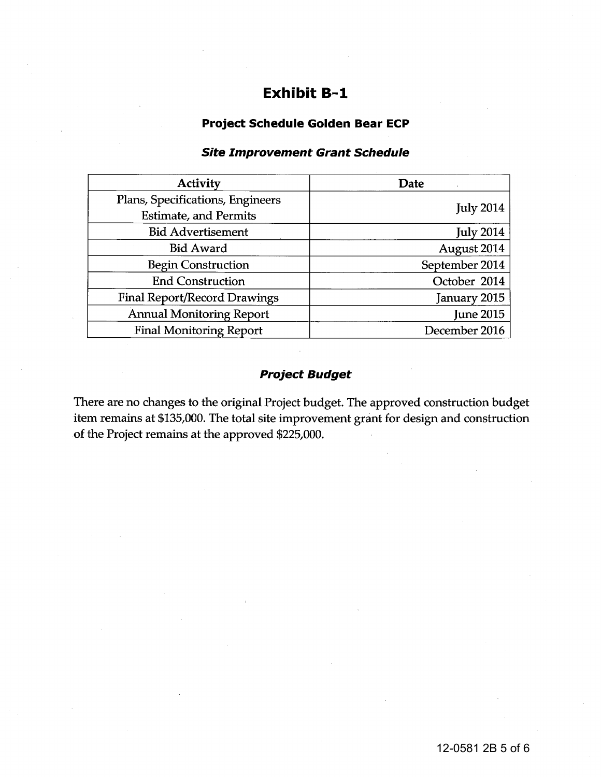# **Exhibit 8-1**

### **Project Schedule Golden Bear ECP**

## **Site Improvement Grant Schedule**

| <b>Activity</b>                     | Date             |  |  |
|-------------------------------------|------------------|--|--|
| Plans, Specifications, Engineers    | <b>July 2014</b> |  |  |
| <b>Estimate, and Permits</b>        |                  |  |  |
| <b>Bid Advertisement</b>            | <b>July 2014</b> |  |  |
| <b>Bid Award</b>                    | August 2014      |  |  |
| <b>Begin Construction</b>           | September 2014   |  |  |
| <b>End Construction</b>             | October 2014     |  |  |
| <b>Final Report/Record Drawings</b> | January 2015     |  |  |
| <b>Annual Monitoring Report</b>     | <b>June 2015</b> |  |  |
| <b>Final Monitoring Report</b>      | December 2016    |  |  |

## **Project Budget**

There are no changes to the original Project budget. The approved construction budget item remains at \$135,000. The total site improvement grant for design and construction of the Project remains at the approved \$225,000.